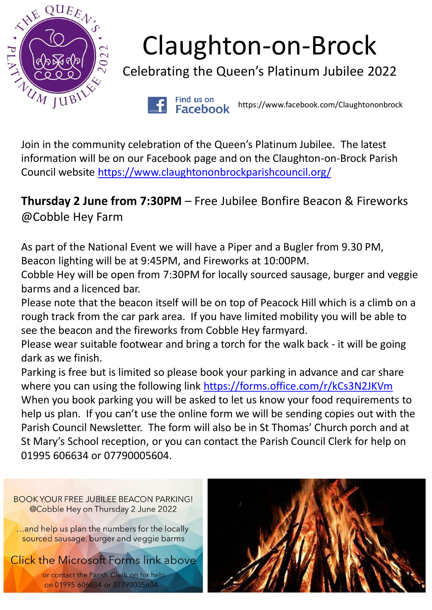

## Claughton-on-Brock

Celebrating the Queen's Platinum Jubilee 2022

Find us on https://www.facebook.com/Claughtononbrock**Facebook** 

Join in the community celebration of the Queen's Platinum Jubilee. The latest information will be on our Facebook page and on the Claughton-on-Brock Parish Council website <https://www.claughtononbrockparishcouncil.org/>

**Thursday 2 June from 7:30PM** – Free Jubilee Bonfire Beacon & Fireworks @Cobble Hey Farm

As part of the National Event we will have a Piper and a Bugler from 9.30 PM, Beacon lighting will be at 9:45PM, and Fireworks at 10:00PM.

Cobble Hey will be open from 7:30PM for locally sourced sausage, burger and veggie barms and a licenced bar.

Please note that the beacon itself will be on top of Peacock Hill which is a climb on a rough track from the car park area. If you have limited mobility you will be able to see the beacon and the fireworks from Cobble Hey farmyard.

Please wear suitable footwear and bring a torch for the walk back - it will be going dark as we finish.

Parking is free but is limited so please book your parking in advance and car share where you can using the following link <https://forms.office.com/r/kCs3N2JKVm> When you book parking you will be asked to let us know your food requirements to help us plan. If you can't use the online form we will be sending copies out with the Parish Council Newsletter. The form will also be in St Thomas' Church porch and at St Mary's School reception, or you can contact the Parish Council Clerk for help on 01995 606634 or 07790005604.

**BOOK YOUR FREE JUBILEE BEACON PARKING!** @Cobble Hey on Thursday 2 June 2022 ...and help us plan the numbers for the locally sourced sausage, burger and veggie barms **Click the Microsoft Forms link above** or contact the Parish Clerk on for help on 01995 606634 or 07790005604